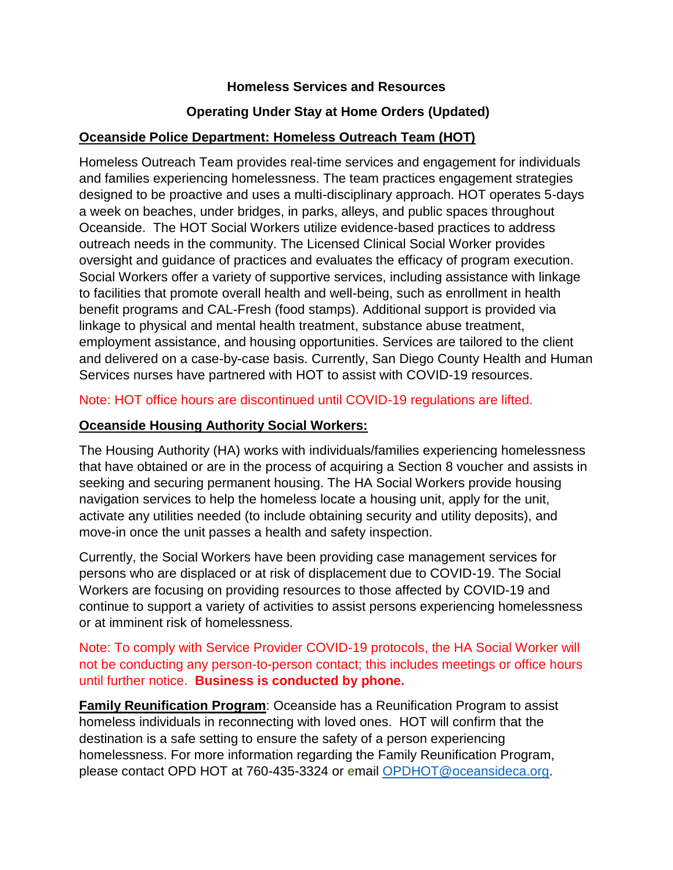#### **Homeless Services and Resources**

## **Operating Under Stay at Home Orders (Updated)**

#### **Oceanside Police Department: Homeless Outreach Team (HOT)**

Homeless Outreach Team provides real-time services and engagement for individuals and families experiencing homelessness. The team practices engagement strategies designed to be proactive and uses a multi-disciplinary approach. HOT operates 5-days a week on beaches, under bridges, in parks, alleys, and public spaces throughout Oceanside. The HOT Social Workers utilize evidence-based practices to address outreach needs in the community. The Licensed Clinical Social Worker provides oversight and guidance of practices and evaluates the efficacy of program execution. Social Workers offer a variety of supportive services, including assistance with linkage to facilities that promote overall health and well-being, such as enrollment in health benefit programs and CAL-Fresh (food stamps). Additional support is provided via linkage to physical and mental health treatment, substance abuse treatment, employment assistance, and housing opportunities. Services are tailored to the client and delivered on a case-by-case basis. Currently, San Diego County Health and Human Services nurses have partnered with HOT to assist with COVID-19 resources.

#### Note: HOT office hours are discontinued until COVID-19 regulations are lifted.

#### **Oceanside Housing Authority Social Workers:**

The Housing Authority (HA) works with individuals/families experiencing homelessness that have obtained or are in the process of acquiring a Section 8 voucher and assists in seeking and securing permanent housing. The HA Social Workers provide housing navigation services to help the homeless locate a housing unit, apply for the unit, activate any utilities needed (to include obtaining security and utility deposits), and move-in once the unit passes a health and safety inspection.

Currently, the Social Workers have been providing case management services for persons who are displaced or at risk of displacement due to COVID-19. The Social Workers are focusing on providing resources to those affected by COVID-19 and continue to support a variety of activities to assist persons experiencing homelessness or at imminent risk of homelessness.

Note: To comply with Service Provider COVID-19 protocols, the HA Social Worker will not be conducting any person-to-person contact; this includes meetings or office hours until further notice. **Business is conducted by phone.**

**Family Reunification Program**: Oceanside has a Reunification Program to assist homeless individuals in reconnecting with loved ones. HOT will confirm that the destination is a safe setting to ensure the safety of a person experiencing homelessness. For more information regarding the Family Reunification Program, please contact OPD HOT at 760-435-3324 or **e**mail [OPDHOT@oceansideca.org.](mailto:OPDHOT@oceansideca.org)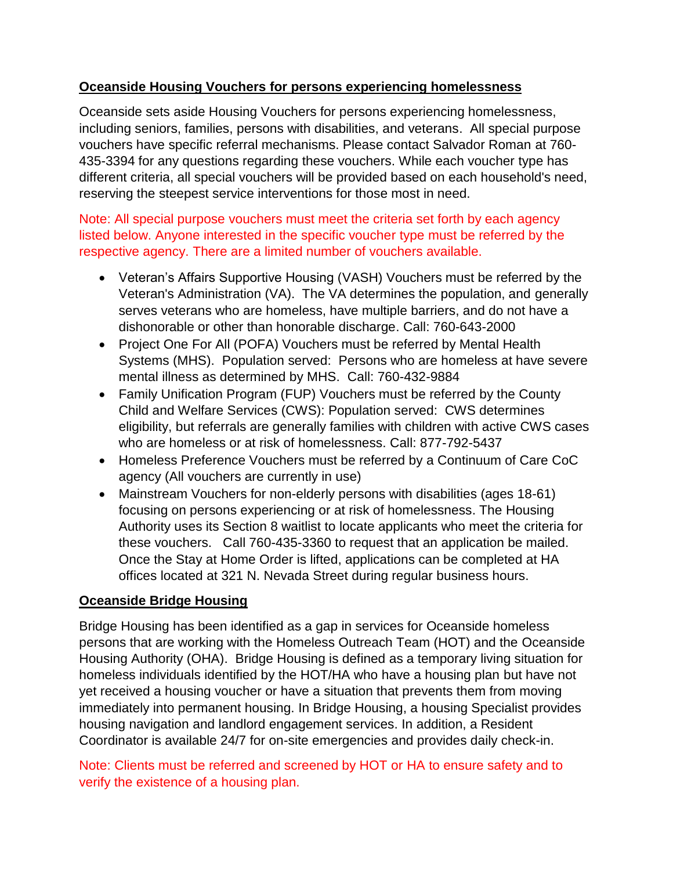## **Oceanside Housing Vouchers for persons experiencing homelessness**

Oceanside sets aside Housing Vouchers for persons experiencing homelessness, including seniors, families, persons with disabilities, and veterans. All special purpose vouchers have specific referral mechanisms. Please contact Salvador Roman at 760- 435-3394 for any questions regarding these vouchers. While each voucher type has different criteria, all special vouchers will be provided based on each household's need, reserving the steepest service interventions for those most in need.

## Note: All special purpose vouchers must meet the criteria set forth by each agency listed below. Anyone interested in the specific voucher type must be referred by the respective agency. There are a limited number of vouchers available.

- Veteran's Affairs Supportive Housing (VASH) Vouchers must be referred by the Veteran's Administration (VA). The VA determines the population, and generally serves veterans who are homeless, have multiple barriers, and do not have a dishonorable or other than honorable discharge. Call: 760-643-2000
- Project One For All (POFA) Vouchers must be referred by Mental Health Systems (MHS). Population served: Persons who are homeless at have severe mental illness as determined by MHS. Call: 760-432-9884
- Family Unification Program (FUP) Vouchers must be referred by the County Child and Welfare Services (CWS): Population served: CWS determines eligibility, but referrals are generally families with children with active CWS cases who are homeless or at risk of homelessness. Call: 877-792-5437
- Homeless Preference Vouchers must be referred by a Continuum of Care CoC agency (All vouchers are currently in use)
- Mainstream Vouchers for non-elderly persons with disabilities (ages 18-61) focusing on persons experiencing or at risk of homelessness. The Housing Authority uses its Section 8 waitlist to locate applicants who meet the criteria for these vouchers. Call 760-435-3360 to request that an application be mailed. Once the Stay at Home Order is lifted, applications can be completed at HA offices located at 321 N. Nevada Street during regular business hours.

## **Oceanside Bridge Housing**

Bridge Housing has been identified as a gap in services for Oceanside homeless persons that are working with the Homeless Outreach Team (HOT) and the Oceanside Housing Authority (OHA). Bridge Housing is defined as a temporary living situation for homeless individuals identified by the HOT/HA who have a housing plan but have not yet received a housing voucher or have a situation that prevents them from moving immediately into permanent housing. In Bridge Housing, a housing Specialist provides housing navigation and landlord engagement services. In addition, a Resident Coordinator is available 24/7 for on-site emergencies and provides daily check-in.

Note: Clients must be referred and screened by HOT or HA to ensure safety and to verify the existence of a housing plan.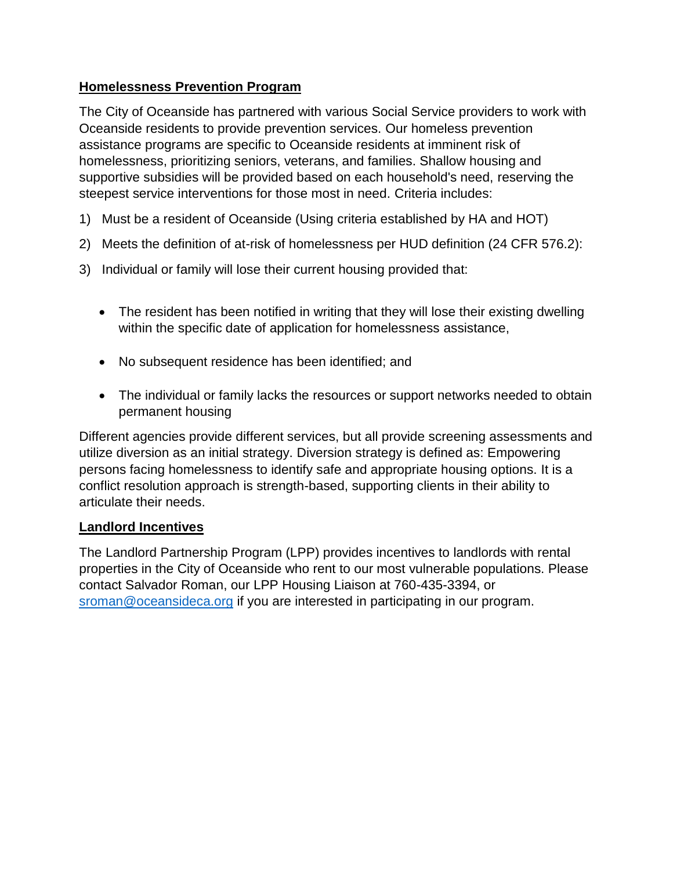## **Homelessness Prevention Program**

The City of Oceanside has partnered with various Social Service providers to work with Oceanside residents to provide prevention services. Our homeless prevention assistance programs are specific to Oceanside residents at imminent risk of homelessness, prioritizing seniors, veterans, and families. Shallow housing and supportive subsidies will be provided based on each household's need, reserving the steepest service interventions for those most in need. Criteria includes:

- 1) Must be a resident of Oceanside (Using criteria established by HA and HOT)
- 2) Meets the definition of at-risk of homelessness per HUD definition (24 CFR 576.2):
- 3) Individual or family will lose their current housing provided that:
	- The resident has been notified in writing that they will lose their existing dwelling within the specific date of application for homelessness assistance,
	- No subsequent residence has been identified; and
	- The individual or family lacks the resources or support networks needed to obtain permanent housing

Different agencies provide different services, but all provide screening assessments and utilize diversion as an initial strategy. Diversion strategy is defined as: Empowering persons facing homelessness to identify safe and appropriate housing options. It is a conflict resolution approach is strength-based, supporting clients in their ability to articulate their needs.

## **Landlord Incentives**

The Landlord Partnership Program (LPP) provides incentives to landlords with rental properties in the City of Oceanside who rent to our most vulnerable populations. Please contact Salvador Roman, our LPP Housing Liaison at 760-435-3394, or [sroman@oceansideca.org](mailto:sroman@oceansideca.org) if you are interested in participating in our program.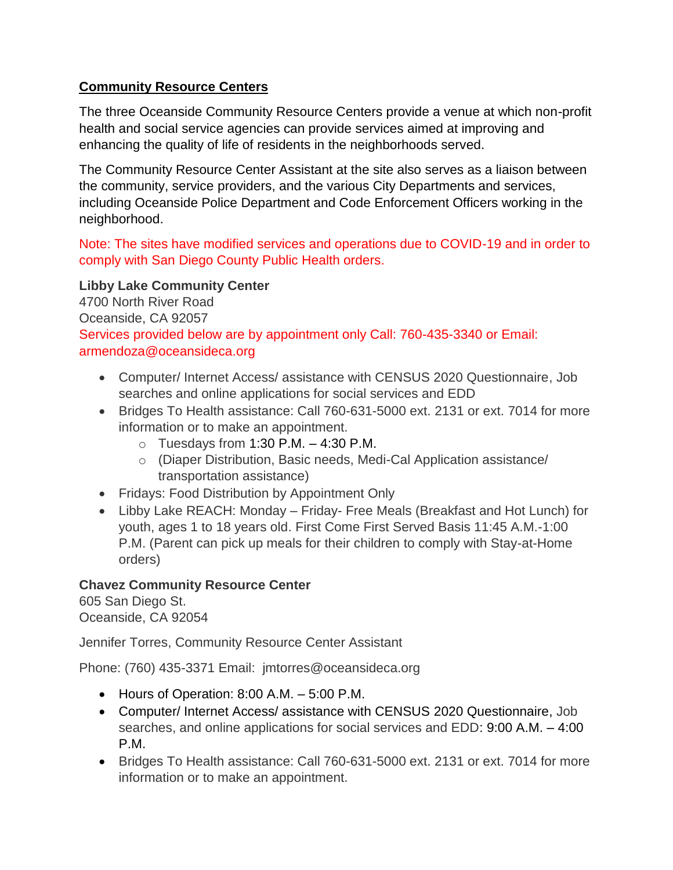# **Community Resource Centers**

The three Oceanside Community Resource Centers provide a venue at which non-profit health and social service agencies can provide services aimed at improving and enhancing the quality of life of residents in the neighborhoods served.

The Community Resource Center Assistant at the site also serves as a liaison between the community, service providers, and the various City Departments and services, including Oceanside Police Department and Code Enforcement Officers working in the neighborhood.

Note: The sites have modified services and operations due to COVID-19 and in order to comply with San Diego County Public Health orders.

## **Libby Lake Community Center**

4700 North River Road Oceanside, CA 92057 Services provided below are by appointment only Call: 760-435-3340 or Email: armendoza@oceansideca.org

- Computer/ Internet Access/ assistance with CENSUS 2020 Questionnaire, Job searches and online applications for social services and EDD
- Bridges To Health assistance: Call 760-631-5000 ext. 2131 or ext. 7014 for more information or to make an appointment.
	- $\circ$  Tuesdays from 1:30 P.M.  $-$  4:30 P.M.
	- o (Diaper Distribution, Basic needs, Medi-Cal Application assistance/ transportation assistance)
- Fridays: Food Distribution by Appointment Only
- Libby Lake REACH: Monday Friday- Free Meals (Breakfast and Hot Lunch) for youth, ages 1 to 18 years old. First Come First Served Basis 11:45 A.M.-1:00 P.M. (Parent can pick up meals for their children to comply with Stay-at-Home orders)

## **Chavez Community Resource Center**

605 San Diego St. Oceanside, CA 92054

Jennifer Torres, Community Resource Center Assistant

Phone: (760) 435-3371 Email: jmtorres@oceansideca.org

- $\bullet$  Hours of Operation: 8:00 A.M.  $-5:00$  P.M.
- Computer/ Internet Access/ assistance with CENSUS 2020 Questionnaire, Job searches, and online applications for social services and EDD: 9:00 A.M. – 4:00 P.M.
- Bridges To Health assistance: Call 760-631-5000 ext. 2131 or ext. 7014 for more information or to make an appointment.